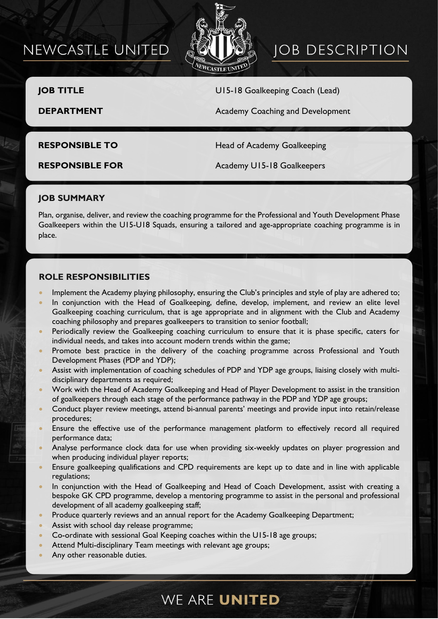# NEWCASTLE UNITED



# **JOB DESCRIPTION**

**JOB TITLE** U15-18 Goalkeeping Coach (Lead)

**DEPARTMENT Academy Coaching and Development** 

**RESPONSIBLE TO** Head of Academy Goalkeeping

**RESPONSIBLE FOR** Academy U15-18 Goalkeepers

## **JOB SUMMARY**

Plan, organise, deliver, and review the coaching programme for the Professional and Youth Development Phase Goalkeepers within the U15-U18 Squads, ensuring a tailored and age-appropriate coaching programme is in place.

### **ROLE RESPONSIBILITIES**

- Implement the Academy playing philosophy, ensuring the Club's principles and style of play are adhered to;
- In conjunction with the Head of Goalkeeping, define, develop, implement, and review an elite level Goalkeeping coaching curriculum, that is age appropriate and in alignment with the Club and Academy coaching philosophy and prepares goalkeepers to transition to senior football;
- Periodically review the Goalkeeping coaching curriculum to ensure that it is phase specific, caters for individual needs, and takes into account modern trends within the game;
- Promote best practice in the delivery of the coaching programme across Professional and Youth Development Phases (PDP and YDP);
- Assist with implementation of coaching schedules of PDP and YDP age groups, liaising closely with multidisciplinary departments as required;
- Work with the Head of Academy Goalkeeping and Head of Player Development to assist in the transition of goalkeepers through each stage of the performance pathway in the PDP and YDP age groups;
- Conduct player review meetings, attend bi-annual parents' meetings and provide input into retain/release procedures;
- Ensure the effective use of the performance management platform to effectively record all required performance data;
- Analyse performance clock data for use when providing six-weekly updates on player progression and when producing individual player reports;
- Ensure goalkeeping qualifications and CPD requirements are kept up to date and in line with applicable regulations;
- In conjunction with the Head of Goalkeeping and Head of Coach Development, assist with creating a bespoke GK CPD programme, develop a mentoring programme to assist in the personal and professional development of all academy goalkeeping staff;
- Produce quarterly reviews and an annual report for the Academy Goalkeeping Department;
- Assist with school day release programme;
- Co-ordinate with sessional Goal Keeping coaches within the U15-18 age groups;
- Attend Multi-disciplinary Team meetings with relevant age groups;
- Any other reasonable duties.

# WE ARE UNITED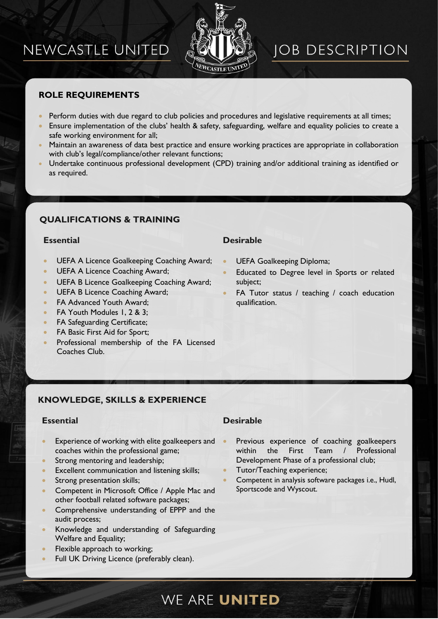# NEWCASTLE UNITED



# **JOB DESCRIPTION**

## **ROLE REQUIREMENTS**

- Perform duties with due regard to club policies and procedures and legislative requirements at all times;
- Ensure implementation of the clubs' health & safety, safeguarding, welfare and equality policies to create a safe working environment for all;
- Maintain an awareness of data best practice and ensure working practices are appropriate in collaboration with club's legal/compliance/other relevant functions;
- Undertake continuous professional development (CPD) training and/or additional training as identified or as required.

## **QUALIFICATIONS & TRAINING**

### **Essential Desirable**

- UEFA A Licence Goalkeeping Coaching Award;
- UEFA A Licence Coaching Award;
- UEFA B Licence Goalkeeping Coaching Award;
- UEFA B Licence Coaching Award;
- FA Advanced Youth Award:
- FA Youth Modules 1, 2 & 3;
- FA Safeguarding Certificate;
- FA Basic First Aid for Sport;
- Professional membership of the FA Licensed Coaches Club.

- UEFA Goalkeeping Diploma;
- Educated to Degree level in Sports or related subject;
- FA Tutor status / teaching / coach education qualification.

### **KNOWLEDGE, SKILLS & EXPERIENCE**

- Experience of working with elite goalkeepers and coaches within the professional game;
- Strong mentoring and leadership;
- Excellent communication and listening skills;
- Strong presentation skills;
- Competent in Microsoft Office / Apple Mac and other football related software packages;
- Comprehensive understanding of EPPP and the audit process;
- Knowledge and understanding of Safeguarding Welfare and Equality;
- Flexible approach to working;
- Full UK Driving Licence (preferably clean).

### **Essential Desirable**

- Previous experience of coaching goalkeepers within the First Team / Professional Development Phase of a professional club;
- Tutor/Teaching experience;
- Competent in analysis software packages i.e., Hudl, Sportscode and Wyscout.

# WE ARE UNITED